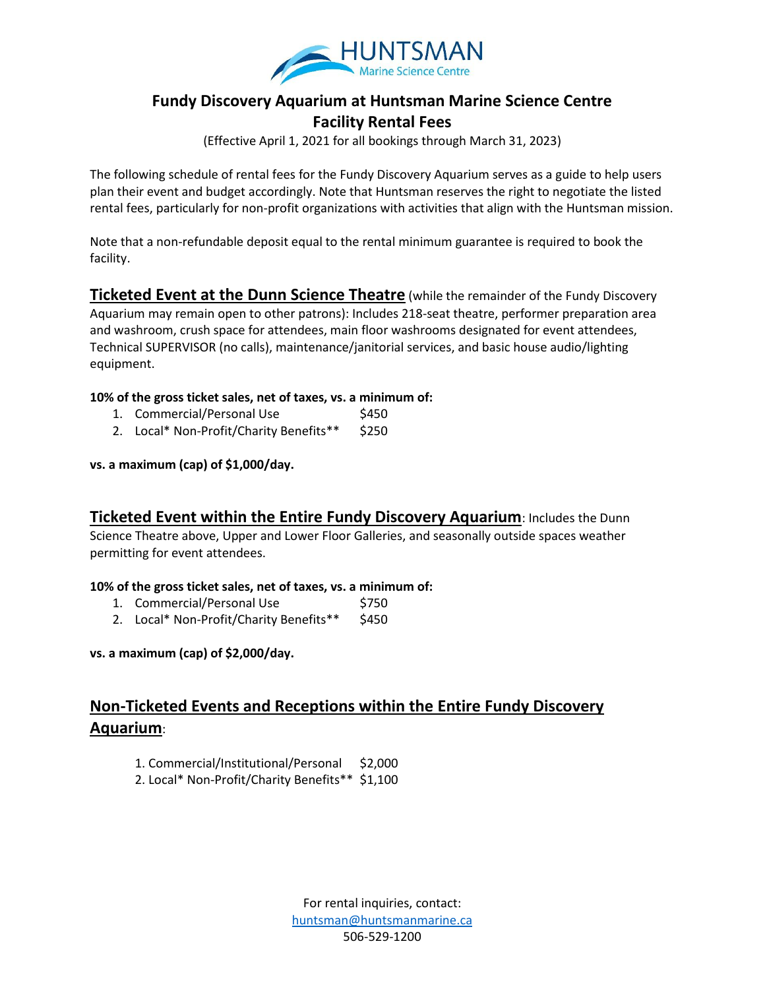

# **Fundy Discovery Aquarium at Huntsman Marine Science Centre Facility Rental Fees**

(Effective April 1, 2021 for all bookings through March 31, 2023)

The following schedule of rental fees for the Fundy Discovery Aquarium serves as a guide to help users plan their event and budget accordingly. Note that Huntsman reserves the right to negotiate the listed rental fees, particularly for non-profit organizations with activities that align with the Huntsman mission.

Note that a non-refundable deposit equal to the rental minimum guarantee is required to book the facility.

**Ticketed Event at the Dunn Science Theatre** (while the remainder of the Fundy Discovery Aquarium may remain open to other patrons): Includes 218-seat theatre, performer preparation area and washroom, crush space for attendees, main floor washrooms designated for event attendees, Technical SUPERVISOR (no calls), maintenance/janitorial services, and basic house audio/lighting equipment.

#### **10% of the gross ticket sales, net of taxes, vs. a minimum of:**

- 1. Commercial/Personal Use \$450
- 2. Local\* Non-Profit/Charity Benefits\*\* \$250

#### **vs. a maximum (cap) of \$1,000/day.**

**Ticketed Event within the Entire Fundy Discovery Aquarium**: Includes the Dunn Science Theatre above, Upper and Lower Floor Galleries, and seasonally outside spaces weather permitting for event attendees.

#### **10% of the gross ticket sales, net of taxes, vs. a minimum of:**

- 1. Commercial/Personal Use \$750
- 2. Local\* Non-Profit/Charity Benefits\*\* \$450

**vs. a maximum (cap) of \$2,000/day.**

# **Non-Ticketed Events and Receptions within the Entire Fundy Discovery Aquarium**:

- 1. Commercial/Institutional/Personal \$2,000
- 2. Local\* Non-Profit/Charity Benefits\*\* \$1,100

For rental inquiries, contact: [huntsman@huntsmanmarine.ca](mailto:huntsman@huntsmanmarine.ca) 506-529-1200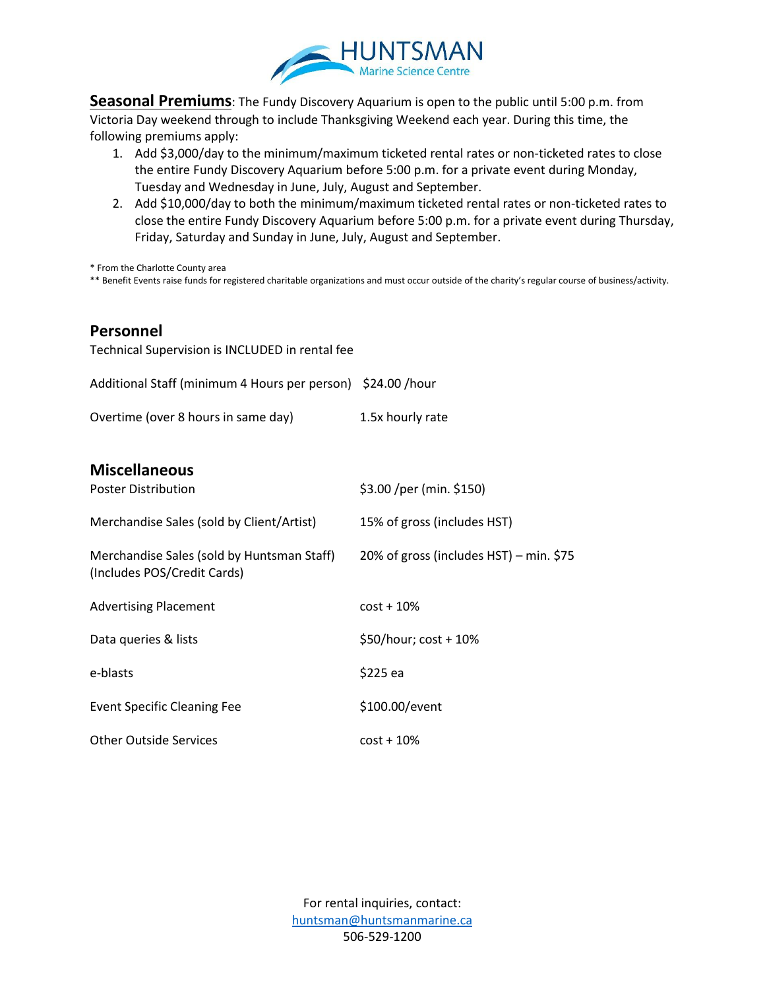

**Seasonal Premiums**: The Fundy Discovery Aquarium is open to the public until 5:00 p.m. from Victoria Day weekend through to include Thanksgiving Weekend each year. During this time, the following premiums apply:

- 1. Add \$3,000/day to the minimum/maximum ticketed rental rates or non-ticketed rates to close the entire Fundy Discovery Aquarium before 5:00 p.m. for a private event during Monday, Tuesday and Wednesday in June, July, August and September.
- 2. Add \$10,000/day to both the minimum/maximum ticketed rental rates or non-ticketed rates to close the entire Fundy Discovery Aquarium before 5:00 p.m. for a private event during Thursday, Friday, Saturday and Sunday in June, July, August and September.

\* From the Charlotte County area

\*\* Benefit Events raise funds for registered charitable organizations and must occur outside of the charity's regular course of business/activity.

### **Personnel**

Technical Supervision is INCLUDED in rental fee Additional Staff (minimum 4 Hours per person) \$24.00 /hour Overtime (over 8 hours in same day) 1.5x hourly rate **Miscellaneous**  Poster Distribution  $$3.00 /per (min. $150)$ Merchandise Sales (sold by Client/Artist) 15% of gross (includes HST) Merchandise Sales (sold by Huntsman Staff) 20% of gross (includes HST) – min. \$75 (Includes POS/Credit Cards) Advertising Placement cost + 10% Data queries & lists  $$50/hour$ ; cost + 10% e-blasts \$225 ea Event Specific Cleaning Fee \$100.00/event Other Outside Services cost + 10%